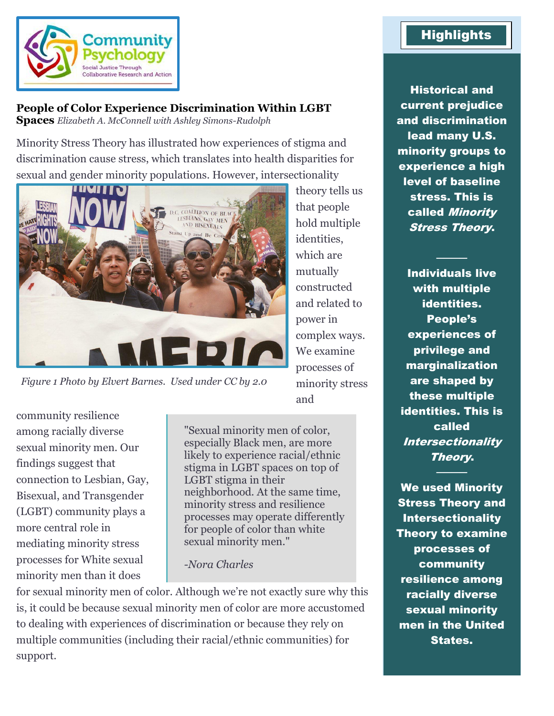

# **People of Color Experience Discrimination Within LGBT**

**Spaces** *Elizabeth A. McConnell with Ashley Simons-Rudolph*

Minority Stress Theory has illustrated how experiences of stigma and discrimination cause stress, which translates into health disparities for sexual and gender minority populations. However, intersectionality



*Figure 1 Photo by Elvert Barnes. Used under CC by 2.0*

community resilience among racially diverse sexual minority men. Our findings suggest that connection to Lesbian, Gay, Bisexual, and Transgender (LGBT) community plays a more central role in mediating minority stress processes for White sexual minority men than it does

"Sexual minority men of color, especially Black men, are more likely to experience racial/ethnic stigma in LGBT spaces on top of LGBT stigma in their neighborhood. At the same time, minority stress and resilience processes may operate differently for people of color than white sexual minority men."

#### *-Nora Charles*

for sexual minority men of color. Although we're not exactly sure why this is, it could be because sexual minority men of color are more accustomed to dealing with experiences of discrimination or because they rely on multiple communities (including their racial/ethnic communities) for support.

theory tells us that people hold multiple identities, which are mutually constructed and related to power in complex ways. We examine processes of minority stress and

Historical and current prejudice and discrimination lead many U.S. minority groups to experience a high level of baseline stress. This is called Minority Stress Theory.

Individuals live with multiple identities. People's experiences of privilege and marginalization are shaped by these multiple identities. This is called **Intersectionality** Theory.

────

We used Minority Stress Theory and Intersectionality Theory to examine processes of community resilience among racially diverse sexual minority men in the United States.

────

## **Highlights**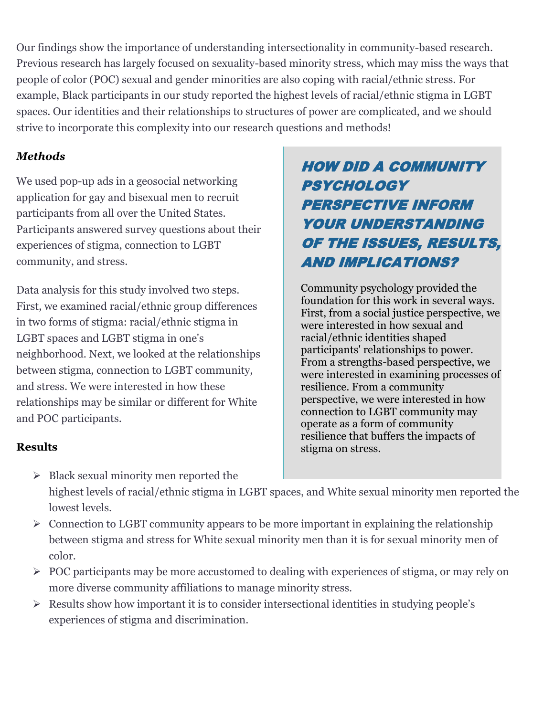Our findings show the importance of understanding intersectionality in community-based research. Previous research has largely focused on sexuality-based minority stress, which may miss the ways that people of color (POC) sexual and gender minorities are also coping with racial/ethnic stress. For example, Black participants in our study reported the highest levels of racial/ethnic stigma in LGBT spaces. Our identities and their relationships to structures of power are complicated, and we should strive to incorporate this complexity into our research questions and methods!

## *Methods*

We used pop-up ads in a geosocial networking application for gay and bisexual men to recruit participants from all over the United States. Participants answered survey questions about their experiences of stigma, connection to LGBT community, and stress.

Data analysis for this study involved two steps. First, we examined racial/ethnic group differences in two forms of stigma: racial/ethnic stigma in LGBT spaces and LGBT stigma in one's neighborhood. Next, we looked at the relationships between stigma, connection to LGBT community, and stress. We were interested in how these relationships may be similar or different for White and POC participants.

# HOW DID A COMMUNITY **PSYCHOLOGY** PERSPECTIVE INFORM YOUR UNDERSTANDING OF THE ISSUES, RESULTS, AND IMPLICATIONS?

Community psychology provided the foundation for this work in several ways. First, from a social justice perspective, we were interested in how sexual and racial/ethnic identities shaped participants' relationships to power. From a strengths-based perspective, we were interested in examining processes of resilience. From a community perspective, we were interested in how connection to LGBT community may operate as a form of community resilience that buffers the impacts of stigma on stress.

## **Results**

- ➢ Black sexual minority men reported the highest levels of racial/ethnic stigma in LGBT spaces, and White sexual minority men reported the lowest levels.
- ➢ Connection to LGBT community appears to be more important in explaining the relationship between stigma and stress for White sexual minority men than it is for sexual minority men of color.
- ➢ POC participants may be more accustomed to dealing with experiences of stigma, or may rely on more diverse community affiliations to manage minority stress.
- ➢ Results show how important it is to consider intersectional identities in studying people's experiences of stigma and discrimination.